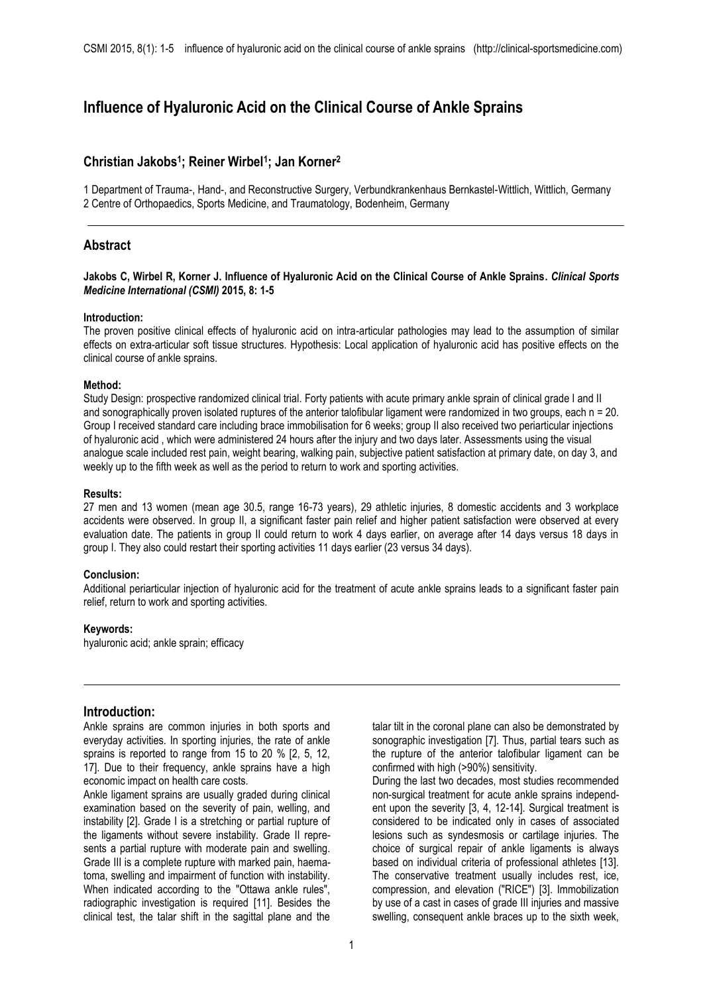# **Influence of Hyaluronic Acid on the Clinical Course of Ankle Sprains**

# **Christian Jakobs<sup>1</sup> ; Reiner Wirbel<sup>1</sup> ; Jan Korner<sup>2</sup>**

1 Department of Trauma-, Hand-, and Reconstructive Surgery, Verbundkrankenhaus Bernkastel-Wittlich, Wittlich, Germany 2 Centre of Orthopaedics, Sports Medicine, and Traumatology, Bodenheim, Germany

# **Abstract**

### **Jakobs C, Wirbel R, Korner J. Influence of Hyaluronic Acid on the Clinical Course of Ankle Sprains.** *Clinical Sports Medicine International (CSMI)* **2015, 8: 1-5**

#### **Introduction:**

The proven positive clinical effects of hyaluronic acid on intra-articular pathologies may lead to the assumption of similar effects on extra-articular soft tissue structures. Hypothesis: Local application of hyaluronic acid has positive effects on the clinical course of ankle sprains.

#### **Method:**

Study Design: prospective randomized clinical trial. Forty patients with acute primary ankle sprain of clinical grade I and II and sonographically proven isolated ruptures of the anterior talofibular ligament were randomized in two groups, each n = 20. Group I received standard care including brace immobilisation for 6 weeks; group II also received two periarticular injections of hyaluronic acid , which were administered 24 hours after the injury and two days later. Assessments using the visual analogue scale included rest pain, weight bearing, walking pain, subjective patient satisfaction at primary date, on day 3, and weekly up to the fifth week as well as the period to return to work and sporting activities.

#### **Results:**

27 men and 13 women (mean age 30.5, range 16-73 years), 29 athletic injuries, 8 domestic accidents and 3 workplace accidents were observed. In group II, a significant faster pain relief and higher patient satisfaction were observed at every evaluation date. The patients in group II could return to work 4 days earlier, on average after 14 days versus 18 days in group I. They also could restart their sporting activities 11 days earlier (23 versus 34 days).

### **Conclusion:**

Additional periarticular injection of hyaluronic acid for the treatment of acute ankle sprains leads to a significant faster pain relief, return to work and sporting activities.

### **Keywords:**

hyaluronic acid; ankle sprain; efficacy

# **Introduction:**

Ankle sprains are common injuries in both sports and everyday activities. In sporting injuries, the rate of ankle sprains is reported to range from 15 to 20 % [2, 5, 12, 17]. Due to their frequency, ankle sprains have a high economic impact on health care costs.

Ankle ligament sprains are usually graded during clinical examination based on the severity of pain, welling, and instability [2]. Grade I is a stretching or partial rupture of the ligaments without severe instability. Grade II represents a partial rupture with moderate pain and swelling. Grade III is a complete rupture with marked pain, haematoma, swelling and impairment of function with instability. When indicated according to the "Ottawa ankle rules", radiographic investigation is required [11]. Besides the clinical test, the talar shift in the sagittal plane and the

talar tilt in the coronal plane can also be demonstrated by sonographic investigation [7]. Thus, partial tears such as the rupture of the anterior talofibular ligament can be confirmed with high (>90%) sensitivity.

During the last two decades, most studies recommended non-surgical treatment for acute ankle sprains independent upon the severity [3, 4, 12-14]. Surgical treatment is considered to be indicated only in cases of associated lesions such as syndesmosis or cartilage injuries. The choice of surgical repair of ankle ligaments is always based on individual criteria of professional athletes [13]. The conservative treatment usually includes rest, ice, compression, and elevation ("RICE") [3]. Immobilization by use of a cast in cases of grade III injuries and massive swelling, consequent ankle braces up to the sixth week,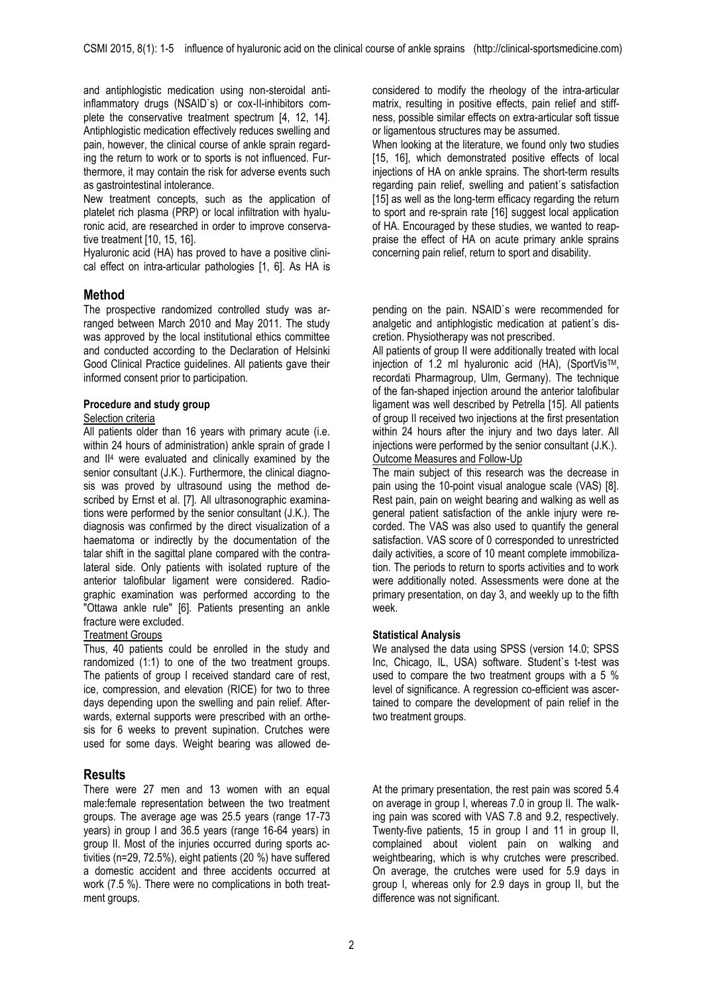and antiphlogistic medication using non-steroidal antiinflammatory drugs (NSAID`s) or cox-II-inhibitors complete the conservative treatment spectrum [4, 12, 14]. Antiphlogistic medication effectively reduces swelling and pain, however, the clinical course of ankle sprain regarding the return to work or to sports is not influenced. Furthermore, it may contain the risk for adverse events such as gastrointestinal intolerance.

New treatment concepts, such as the application of platelet rich plasma (PRP) or local infiltration with hyaluronic acid, are researched in order to improve conservative treatment [10, 15, 16].

Hyaluronic acid (HA) has proved to have a positive clinical effect on intra-articular pathologies [1, 6]. As HA is

# **Method**

The prospective randomized controlled study was arranged between March 2010 and May 2011. The study was approved by the local institutional ethics committee and conducted according to the Declaration of Helsinki Good Clinical Practice guidelines. All patients gave their informed consent prior to participation.

### **Procedure and study group**

### Selection criteria

All patients older than 16 years with primary acute (i.e. within 24 hours of administration) ankle sprain of grade I and II<sup>4</sup> were evaluated and clinically examined by the senior consultant (J.K.). Furthermore, the clinical diagnosis was proved by ultrasound using the method described by Ernst et al. [7]. All ultrasonographic examinations were performed by the senior consultant (J.K.). The diagnosis was confirmed by the direct visualization of a haematoma or indirectly by the documentation of the talar shift in the sagittal plane compared with the contralateral side. Only patients with isolated rupture of the anterior talofibular ligament were considered. Radiographic examination was performed according to the "Ottawa ankle rule" [6]. Patients presenting an ankle fracture were excluded.

### **Treatment Groups**

Thus, 40 patients could be enrolled in the study and randomized (1:1) to one of the two treatment groups. The patients of group I received standard care of rest, ice, compression, and elevation (RICE) for two to three days depending upon the swelling and pain relief. Afterwards, external supports were prescribed with an orthesis for 6 weeks to prevent supination. Crutches were used for some days. Weight bearing was allowed de-

# **Results**

There were 27 men and 13 women with an equal male:female representation between the two treatment groups. The average age was 25.5 years (range 17-73 years) in group I and 36.5 years (range 16-64 years) in group II. Most of the injuries occurred during sports activities (n=29, 72.5%), eight patients (20 %) have suffered a domestic accident and three accidents occurred at work (7.5 %). There were no complications in both treatment groups.

considered to modify the rheology of the intra-articular matrix, resulting in positive effects, pain relief and stiffness, possible similar effects on extra-articular soft tissue or ligamentous structures may be assumed.

When looking at the literature, we found only two studies [15, 16], which demonstrated positive effects of local injections of HA on ankle sprains. The short-term results regarding pain relief, swelling and patient´s satisfaction [15] as well as the long-term efficacy regarding the return to sport and re-sprain rate [16] suggest local application of HA. Encouraged by these studies, we wanted to reappraise the effect of HA on acute primary ankle sprains concerning pain relief, return to sport and disability.

pending on the pain. NSAID`s were recommended for analgetic and antiphlogistic medication at patient´s discretion. Physiotherapy was not prescribed.

All patients of group II were additionally treated with local injection of 1.2 ml hyaluronic acid (HA), (SportVisTM, recordati Pharmagroup, Ulm, Germany). The technique of the fan-shaped injection around the anterior talofibular ligament was well described by Petrella [15]. All patients of group II received two injections at the first presentation within 24 hours after the injury and two days later. All injections were performed by the senior consultant (J.K.). Outcome Measures and Follow-Up

The main subject of this research was the decrease in pain using the 10-point visual analogue scale (VAS) [8]. Rest pain, pain on weight bearing and walking as well as general patient satisfaction of the ankle injury were recorded. The VAS was also used to quantify the general satisfaction. VAS score of 0 corresponded to unrestricted daily activities, a score of 10 meant complete immobilization. The periods to return to sports activities and to work were additionally noted. Assessments were done at the primary presentation, on day 3, and weekly up to the fifth week.

### **Statistical Analysis**

We analysed the data using SPSS (version 14.0; SPSS Inc, Chicago, IL, USA) software. Student`s t-test was used to compare the two treatment groups with a 5 % level of significance. A regression co-efficient was ascertained to compare the development of pain relief in the two treatment groups.

At the primary presentation, the rest pain was scored 5.4 on average in group I, whereas 7.0 in group II. The walking pain was scored with VAS 7.8 and 9.2, respectively. Twenty-five patients, 15 in group I and 11 in group II, complained about violent pain on walking and weightbearing, which is why crutches were prescribed. On average, the crutches were used for 5.9 days in group I, whereas only for 2.9 days in group II, but the difference was not significant.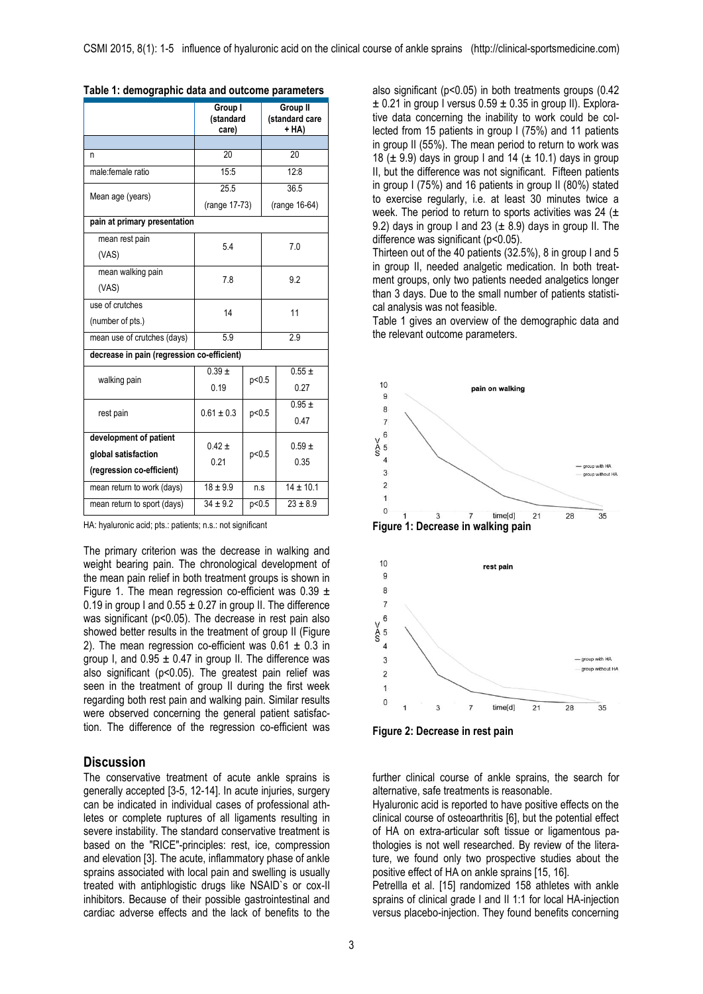|                                            | Group I<br>(standard<br>care) |         | Group II<br>(standard care<br>+ HA) |               |  |
|--------------------------------------------|-------------------------------|---------|-------------------------------------|---------------|--|
|                                            |                               |         |                                     |               |  |
| n                                          | 20                            |         | 20                                  |               |  |
| male:female ratio                          | 15:5                          |         | 12:8                                |               |  |
| Mean age (years)                           | 25.5                          |         | 36.5                                |               |  |
|                                            | (range 17-73)                 |         | (range 16-64)                       |               |  |
| pain at primary presentation               |                               |         |                                     |               |  |
| mean rest pain                             | 54                            |         |                                     | 7.0           |  |
| (VAS)                                      |                               |         |                                     |               |  |
| mean walking pain                          | 7.8                           |         |                                     | 9.2           |  |
| (VAS)                                      |                               |         |                                     |               |  |
| use of crutches                            | 14                            |         |                                     | 11            |  |
| (number of pts.)                           |                               |         |                                     |               |  |
| mean use of crutches (days)                | 5.9                           |         | 2.9                                 |               |  |
| decrease in pain (regression co-efficient) |                               |         |                                     |               |  |
| walking pain                               | $0.39 +$                      | p<0.5   |                                     | $0.55 \pm$    |  |
|                                            | 0.19                          |         |                                     | 0.27          |  |
| rest pain                                  | $0.61 \pm 0.3$                | p<0.5   |                                     | $0.95 +$      |  |
|                                            |                               |         |                                     | 0.47          |  |
| development of patient                     | $0.42 \pm$                    | p < 0.5 |                                     | $0.59 \pm$    |  |
| global satisfaction                        | 0.21                          |         |                                     | 0.35          |  |
| (regression co-efficient)                  |                               |         |                                     |               |  |
| mean return to work (days)                 | $18 + 9.9$                    | n.s     |                                     | $14 \pm 10.1$ |  |
| mean return to sport (days)                | $34 \pm 9.2$                  | p < 0.5 |                                     | $23 \pm 8.9$  |  |

| Table 1: demographic data and outcome parameters |  |
|--------------------------------------------------|--|
|--------------------------------------------------|--|

HA: hyaluronic acid; pts.: patients; n.s.: not significant

The primary criterion was the decrease in walking and weight bearing pain. The chronological development of the mean pain relief in both treatment groups is shown in Figure 1. The mean regression co-efficient was  $0.39 \pm$ 0.19 in group I and  $0.55 \pm 0.27$  in group II. The difference was significant (p<0.05). The decrease in rest pain also showed better results in the treatment of group II (Figure 2). The mean regression co-efficient was  $0.61 \pm 0.3$  in group I, and  $0.95 \pm 0.47$  in group II. The difference was also significant (p<0.05). The greatest pain relief was seen in the treatment of group II during the first week regarding both rest pain and walking pain. Similar results were observed concerning the general patient satisfaction. The difference of the regression co-efficient was

## **Discussion**

The conservative treatment of acute ankle sprains is generally accepted [3-5, 12-14]. In acute injuries, surgery can be indicated in individual cases of professional athletes or complete ruptures of all ligaments resulting in severe instability. The standard conservative treatment is based on the "RICE"-principles: rest, ice, compression and elevation [3]. The acute, inflammatory phase of ankle sprains associated with local pain and swelling is usually treated with antiphlogistic drugs like NSAID`s or cox-II inhibitors. Because of their possible gastrointestinal and cardiac adverse effects and the lack of benefits to the

also significant (p<0.05) in both treatments groups (0.42  $\pm$  0.21 in group I versus 0.59  $\pm$  0.35 in group II). Explorative data concerning the inability to work could be collected from 15 patients in group I (75%) and 11 patients in group II (55%). The mean period to return to work was 18 ( $\pm$  9.9) days in group I and 14 ( $\pm$  10.1) days in group II, but the difference was not significant. Fifteen patients in group I (75%) and 16 patients in group II (80%) stated to exercise regularly, i.e. at least 30 minutes twice a week. The period to return to sports activities was 24 ( $\pm$ 9.2) days in group I and 23 ( $\pm$  8.9) days in group II. The difference was significant (p<0.05).

Thirteen out of the 40 patients (32.5%), 8 in group I and 5 in group II, needed analgetic medication. In both treatment groups, only two patients needed analgetics longer than 3 days. Due to the small number of patients statistical analysis was not feasible.

Table 1 gives an overview of the demographic data and the relevant outcome parameters.



**Figure 2: Decrease in rest pain**

further clinical course of ankle sprains, the search for alternative, safe treatments is reasonable.

Hyaluronic acid is reported to have positive effects on the clinical course of osteoarthritis [6], but the potential effect of HA on extra-articular soft tissue or ligamentous pathologies is not well researched. By review of the literature, we found only two prospective studies about the positive effect of HA on ankle sprains [15, 16].

Petrellla et al. [15] randomized 158 athletes with ankle sprains of clinical grade I and II 1:1 for local HA-injection versus placebo-injection. They found benefits concerning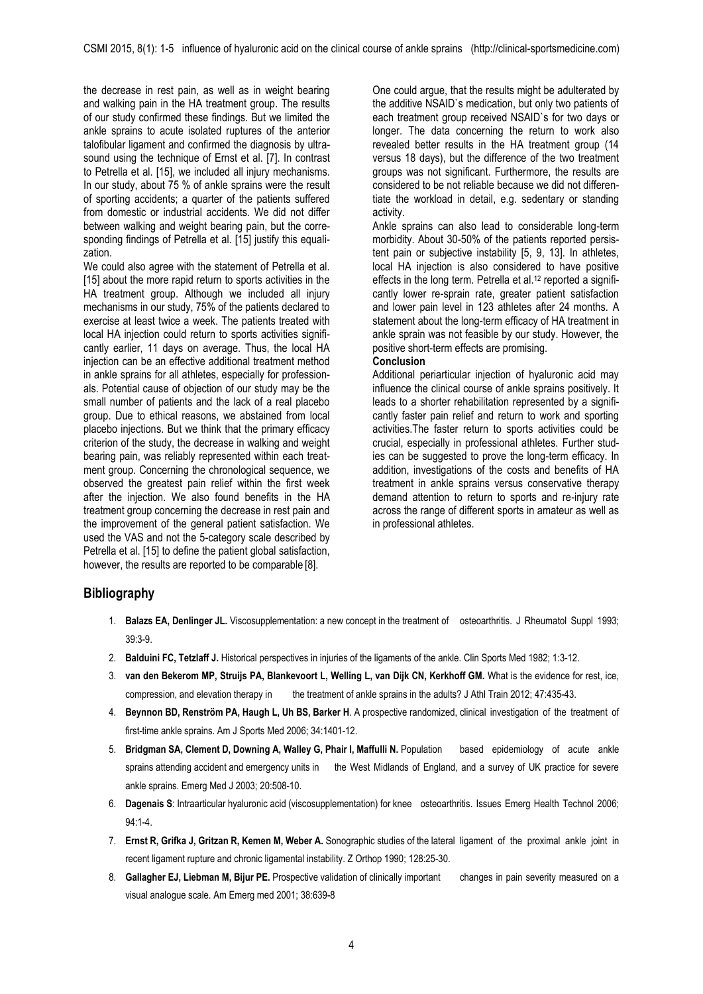the decrease in rest pain, as well as in weight bearing and walking pain in the HA treatment group. The results of our study confirmed these findings. But we limited the ankle sprains to acute isolated ruptures of the anterior talofibular ligament and confirmed the diagnosis by ultrasound using the technique of Ernst et al. [7]. In contrast to Petrella et al. [15], we included all injury mechanisms. In our study, about 75 % of ankle sprains were the result of sporting accidents; a quarter of the patients suffered from domestic or industrial accidents. We did not differ between walking and weight bearing pain, but the corresponding findings of Petrella et al. [15] justify this equalization.

We could also agree with the statement of Petrella et al. [15] about the more rapid return to sports activities in the HA treatment group. Although we included all injury mechanisms in our study, 75% of the patients declared to exercise at least twice a week. The patients treated with local HA injection could return to sports activities significantly earlier, 11 days on average. Thus, the local HA injection can be an effective additional treatment method in ankle sprains for all athletes, especially for professionals. Potential cause of objection of our study may be the small number of patients and the lack of a real placebo group. Due to ethical reasons, we abstained from local placebo injections. But we think that the primary efficacy criterion of the study, the decrease in walking and weight bearing pain, was reliably represented within each treatment group. Concerning the chronological sequence, we observed the greatest pain relief within the first week after the injection. We also found benefits in the HA treatment group concerning the decrease in rest pain and the improvement of the general patient satisfaction. We used the VAS and not the 5-category scale described by Petrella et al. [15] to define the patient global satisfaction, however, the results are reported to be comparable [8].

One could argue, that the results might be adulterated by the additive NSAID`s medication, but only two patients of each treatment group received NSAID`s for two days or longer. The data concerning the return to work also revealed better results in the HA treatment group (14 versus 18 days), but the difference of the two treatment groups was not significant. Furthermore, the results are considered to be not reliable because we did not differentiate the workload in detail, e.g. sedentary or standing activity.

Ankle sprains can also lead to considerable long-term morbidity. About 30-50% of the patients reported persistent pain or subjective instability [5, 9, 13]. In athletes, local HA injection is also considered to have positive effects in the long term. Petrella et al.<sup>12</sup> reported a significantly lower re-sprain rate, greater patient satisfaction and lower pain level in 123 athletes after 24 months. A statement about the long-term efficacy of HA treatment in ankle sprain was not feasible by our study. However, the positive short-term effects are promising.

# **Conclusion**

Additional periarticular injection of hyaluronic acid may influence the clinical course of ankle sprains positively. It leads to a shorter rehabilitation represented by a significantly faster pain relief and return to work and sporting activities.The faster return to sports activities could be crucial, especially in professional athletes. Further studies can be suggested to prove the long-term efficacy. In addition, investigations of the costs and benefits of HA treatment in ankle sprains versus conservative therapy demand attention to return to sports and re-injury rate across the range of different sports in amateur as well as in professional athletes.

# **Bibliography**

- 1. **Balazs EA, Denlinger JL.** Viscosupplementation: a new concept in the treatment of osteoarthritis. J Rheumatol Suppl 1993; 39:3-9.
- 2. **Balduini FC, Tetzlaff J.** Historical perspectives in injuries of the ligaments of the ankle. Clin Sports Med 1982; 1:3-12.
- 3. **van den Bekerom MP, Struijs PA, Blankevoort L, Welling L, van Dijk CN, Kerkhoff GM.** What is the evidence for rest, ice, compression, and elevation therapy in the treatment of ankle sprains in the adults? J Athl Train 2012; 47:435-43.
- 4. **Beynnon BD, Renström PA, Haugh L, Uh BS, Barker H**. A prospective randomized, clinical investigation of the treatment of first-time ankle sprains. Am J Sports Med 2006; 34:1401-12.
- 5. **Bridgman SA, Clement D, Downing A, Walley G, Phair I, Maffulli N.** Population based epidemiology of acute ankle sprains attending accident and emergency units in the West Midlands of England, and a survey of UK practice for severe ankle sprains. Emerg Med J 2003; 20:508-10.
- 6. **Dagenais S**: Intraarticular hyaluronic acid (viscosupplementation) for knee osteoarthritis. Issues Emerg Health Technol 2006; 94:1-4.
- 7. **Ernst R, Grifka J, Gritzan R, Kemen M, Weber A.** Sonographic studies of the lateral ligament of the proximal ankle joint in recent ligament rupture and chronic ligamental instability. Z Orthop 1990; 128:25-30.
- 8. **Gallagher EJ, Liebman M, Bijur PE.** Prospective validation of clinically important changes in pain severity measured on a visual analogue scale. Am Emerg med 2001; 38:639-8